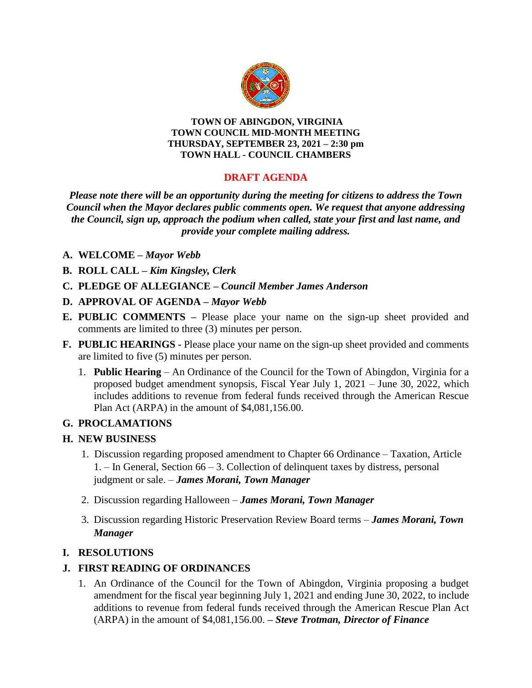

#### **TOWN OF ABINGDON, VIRGINIA TOWN COUNCIL MID-MONTH MEETING THURSDAY, SEPTEMBER 23, 2021 – 2:30 pm TOWN HALL - COUNCIL CHAMBERS**

# **DRAFT AGENDA**

*Please note there will be an opportunity during the meeting for citizens to address the Town Council when the Mayor declares public comments open. We request that anyone addressing the Council, sign up, approach the podium when called, state your first and last name, and provide your complete mailing address.*

### **A. WELCOME –** *Mayor Webb*

- **B. ROLL CALL –** *Kim Kingsley, Clerk*
- **C. PLEDGE OF ALLEGIANCE –** *Council Member James Anderson*
- **D. APPROVAL OF AGENDA –** *Mayor Webb*
- **E. PUBLIC COMMENTS –** Please place your name on the sign-up sheet provided and comments are limited to three (3) minutes per person.
- **F. PUBLIC HEARINGS -** Please place your name on the sign-up sheet provided and comments are limited to five (5) minutes per person.
	- 1. **Public Hearing** An Ordinance of the Council for the Town of Abingdon, Virginia for a proposed budget amendment synopsis, Fiscal Year July 1, 2021 – June 30, 2022, which includes additions to revenue from federal funds received through the American Rescue Plan Act (ARPA) in the amount of \$4,081,156.00.

#### **G. PROCLAMATIONS**

#### **H. NEW BUSINESS**

- 1. Discussion regarding proposed amendment to Chapter 66 Ordinance Taxation, Article 1. – In General, Section 66 – 3. Collection of delinquent taxes by distress, personal judgment or sale. – *James Morani, Town Manager*
- 2. Discussion regarding Halloween *James Morani, Town Manager*
- 3. Discussion regarding Historic Preservation Review Board terms *James Morani, Town Manager*

## **I. RESOLUTIONS**

## **J. FIRST READING OF ORDINANCES**

1. An Ordinance of the Council for the Town of Abingdon, Virginia proposing a budget amendment for the fiscal year beginning July 1, 2021 and ending June 30, 2022, to include additions to revenue from federal funds received through the American Rescue Plan Act (ARPA) in the amount of \$4,081,156.00. **–** *Steve Trotman, Director of Finance*